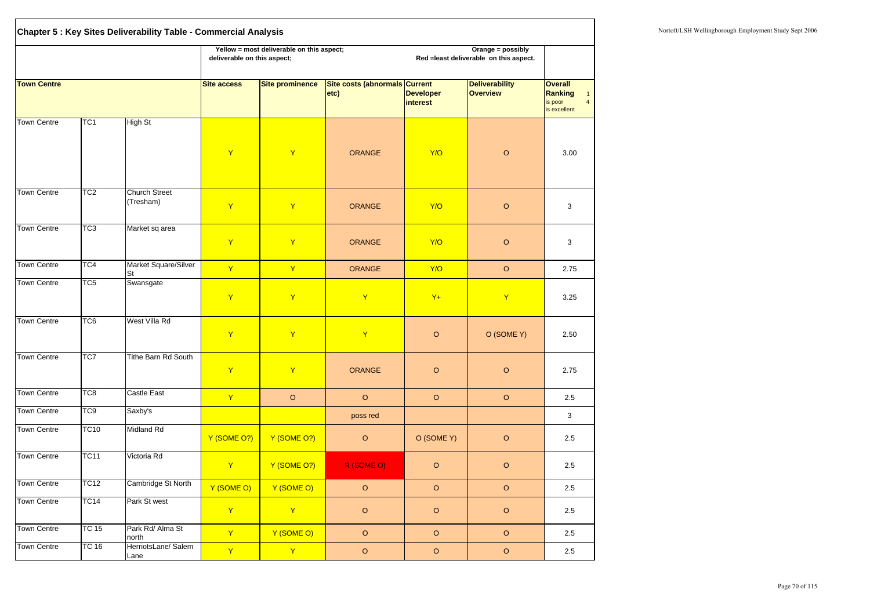|                    |                 | Chapter 5 : Key Sites Deliverability Table - Commercial Analysis |                                                                                              |                                                                                                                                          |               |                                     |                                          |                                                                                               |  |  |  |  |  |
|--------------------|-----------------|------------------------------------------------------------------|----------------------------------------------------------------------------------------------|------------------------------------------------------------------------------------------------------------------------------------------|---------------|-------------------------------------|------------------------------------------|-----------------------------------------------------------------------------------------------|--|--|--|--|--|
|                    |                 |                                                                  |                                                                                              | Yellow = most deliverable on this aspect;<br>Orange = possibly<br>deliverable on this aspect;<br>Red = least deliverable on this aspect. |               |                                     |                                          |                                                                                               |  |  |  |  |  |
| <b>Town Centre</b> |                 |                                                                  | Site costs (abnormals Current<br><b>Site access</b><br><b>Site prominence</b><br>$ $ etc $ $ |                                                                                                                                          |               | <b>Developer</b><br><i>interest</i> | <b>Deliverability</b><br><b>Overview</b> | <b>Overall</b><br><b>Ranking</b><br>$\mathbf{1}$<br>$\overline{4}$<br>is poor<br>is excellent |  |  |  |  |  |
| <b>Town Centre</b> | TC <sub>1</sub> | <b>High St</b>                                                   | Y                                                                                            | $\mathbf Y$                                                                                                                              | <b>ORANGE</b> | Y/O                                 | $\circ$                                  | 3.00                                                                                          |  |  |  |  |  |
| <b>Town Centre</b> | TC <sub>2</sub> | <b>Church Street</b><br>(Tresham)                                | Y                                                                                            | $\mathbf Y$                                                                                                                              | <b>ORANGE</b> | Y/O                                 | $\circ$                                  | 3                                                                                             |  |  |  |  |  |
| <b>Town Centre</b> | TC <sub>3</sub> | Market sq area                                                   | Y                                                                                            | $\mathbf Y$                                                                                                                              | <b>ORANGE</b> | Y/O                                 | $\circ$                                  | 3                                                                                             |  |  |  |  |  |
| <b>Town Centre</b> | TC4             | Market Square/Silver<br><b>St</b>                                | $\mathsf{Y}$                                                                                 | $\mathsf{Y}$                                                                                                                             | <b>ORANGE</b> | Y/O                                 | $\circ$                                  | 2.75                                                                                          |  |  |  |  |  |
| <b>Town Centre</b> | TC <sub>5</sub> | Swansgate                                                        | Y                                                                                            | $\mathsf{Y}$                                                                                                                             | Y             | $Y+$                                | Y                                        | 3.25                                                                                          |  |  |  |  |  |
| Town Centre        | TC <sub>6</sub> | West Villa Rd                                                    | Y                                                                                            | $\mathsf{Y}$                                                                                                                             | $\mathsf{Y}$  | $\circ$                             | O (SOME Y)                               | 2.50                                                                                          |  |  |  |  |  |
| <b>Town Centre</b> | TC7             | <b>Tithe Barn Rd South</b>                                       | $\mathsf{Y}$                                                                                 | $\mathbf{Y}$                                                                                                                             | <b>ORANGE</b> | $\circ$                             | $\mathsf O$                              | 2.75                                                                                          |  |  |  |  |  |
| <b>Town Centre</b> | TC <sub>8</sub> | <b>Castle East</b>                                               | $\mathsf{Y}$                                                                                 | $\circ$                                                                                                                                  | $\circ$       | $\circ$                             | $\circ$                                  | 2.5                                                                                           |  |  |  |  |  |
| <b>Town Centre</b> | TC <sub>9</sub> | Saxby's                                                          |                                                                                              |                                                                                                                                          | poss red      |                                     |                                          | 3                                                                                             |  |  |  |  |  |
| <b>Town Centre</b> | <b>TC10</b>     | <b>Midland Rd</b>                                                | Y (SOME O?)                                                                                  | Y (SOME O?)                                                                                                                              | $\circ$       | O (SOME Y)                          | $\mathsf O$                              | 2.5                                                                                           |  |  |  |  |  |
| <b>Town Centre</b> | <b>TC11</b>     | Victoria Rd                                                      | $\mathbf{Y}$                                                                                 | Y (SOME O?)                                                                                                                              | R (SOME O)    | $\circ$                             | $\circ$                                  | 2.5                                                                                           |  |  |  |  |  |
| <b>Town Centre</b> | <b>TC12</b>     | Cambridge St North                                               | Y (SOME O)                                                                                   | Y (SOME O)                                                                                                                               | $\circ$       | $\circ$                             | $\circ$                                  | $2.5\,$                                                                                       |  |  |  |  |  |
| <b>Town Centre</b> | <b>TC14</b>     | Park St west                                                     | $\mathsf{Y}$                                                                                 | $\mathbf{Y}$                                                                                                                             | $\mathsf O$   | $\circ$                             | $\mathsf O$                              | 2.5                                                                                           |  |  |  |  |  |
| <b>Town Centre</b> | <b>TC 15</b>    | Park Rd/ Alma St<br>north                                        | $\mathbf{Y}$                                                                                 | Y (SOME O)                                                                                                                               | $\circ$       | $\circ$                             | $\circ$                                  | 2.5                                                                                           |  |  |  |  |  |
| Town Centre        | <b>TC 16</b>    | HerriotsLane/ Salem<br>Lane                                      | $\mathbf{Y}$                                                                                 | Y                                                                                                                                        | $\circ$       | $\mathsf O$                         | $\mathsf O$                              | 2.5                                                                                           |  |  |  |  |  |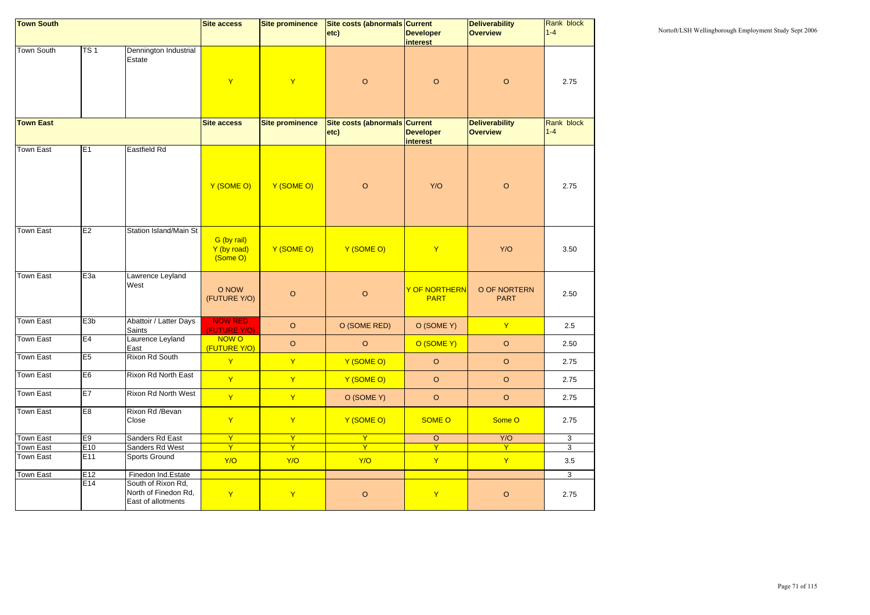| <b>Town South</b> |                  |                                                                  | <b>Site access</b>                     | <b>Site prominence</b> | Site costs (abnormals Current |                                      | <b>Deliverability</b>       | Rank block   |
|-------------------|------------------|------------------------------------------------------------------|----------------------------------------|------------------------|-------------------------------|--------------------------------------|-----------------------------|--------------|
|                   |                  |                                                                  |                                        |                        | etc)                          | <b>Developer</b>                     | <b>Overview</b>             | $1 - 4$      |
|                   |                  |                                                                  |                                        |                        |                               | <i>interest</i>                      |                             |              |
| <b>Town South</b> | TS <sub>1</sub>  | Dennington Industrial<br>Estate                                  | $\mathsf{Y}$                           | $\mathbf{Y}$           | $\circ$                       | $\circ$                              | $\circ$                     | 2.75         |
|                   |                  |                                                                  |                                        |                        |                               |                                      |                             |              |
| <b>Town East</b>  |                  |                                                                  | <b>Site access</b>                     | <b>Site prominence</b> | Site costs (abnormals Current |                                      | <b>Deliverability</b>       | Rank block   |
|                   |                  |                                                                  |                                        |                        | etc)                          | <b>Developer</b><br><i>interest</i>  | <b>Overview</b>             | $1 - 4$      |
| <b>Town East</b>  | E <sub>1</sub>   | Eastfield Rd                                                     |                                        |                        |                               |                                      |                             |              |
|                   |                  |                                                                  | Y (SOME O)                             | Y (SOME O)             | $\mathsf O$                   | Y/O                                  | $\mathsf O$                 | 2.75         |
| <b>Town East</b>  | E2               | <b>Station Island/Main St</b>                                    | G (by rail)<br>Y (by road)<br>(Some O) | Y (SOME O)             | Y (SOME O)                    | $\mathbf Y$                          | Y/O                         | 3.50         |
| <b>Town East</b>  | E <sub>3a</sub>  | Lawrence Leyland<br>West                                         | O NOW<br>(FUTURE Y/O)                  | $\circ$                | $\circ$                       | <u>Y OF NORTHERN </u><br><b>PART</b> | O OF NORTERN<br><b>PART</b> | 2.50         |
| <b>Town East</b>  | E <sub>3</sub> b | Abattoir / Latter Days<br><b>Saints</b>                          | <b>NOW RED</b><br>(FUTURE Y/O)         | $\circ$                | O (SOME RED)                  | O (SOME Y)                           | $\mathbf{Y}$                | 2.5          |
| <b>Town East</b>  | E4               | Laurence Leyland<br>East                                         | NOW O<br>(FUTURE Y/O)                  | $\circ$                | $\circ$                       | O (SOME Y)                           | $\circ$                     | 2.50         |
| <b>Town East</b>  | E <sub>5</sub>   | <b>Rixon Rd South</b>                                            | $\mathbf{Y}$                           | $\mathsf{Y}$           | Y (SOME O)                    | $\circ$                              | $\circ$                     | 2.75         |
| Town East         | E <sub>6</sub>   | Rixon Rd North East                                              | $\mathbf{Y}$                           | $\mathbf{Y}$           | Y (SOME O)                    | $\circ$                              | $\circ$                     | 2.75         |
| Town East         | E7               | <b>Rixon Rd North West</b>                                       | $\mathbf{Y}$                           | Y                      | O (SOME Y)                    | $\circ$                              | $\circ$                     | 2.75         |
| <b>Town East</b>  | E8               | Rixon Rd /Bevan<br>Close                                         | $\mathbf{Y}$                           | $\mathbf{Y}$           | Y (SOME O)                    | <b>SOME O</b>                        | Some O                      | 2.75         |
| <b>Town East</b>  | E <sub>9</sub>   | Sanders Rd East                                                  | $\overline{Y}$                         | $\overline{Y}$         | Y                             | $\circ$                              | Y/O                         | $\mathbf{3}$ |
| Town East         | E10              | Sanders Rd West                                                  | $\overline{Y}$                         | $\overline{Y}$         | $\overline{Y}$                | $\overline{Y}$                       | $\overline{Y}$              | $\mathbf{3}$ |
| Town East         | E11              | Sports Ground                                                    | Y/O                                    | Y/O                    | Y/O                           | $\mathsf{Y}$                         | $\mathbf{Y}$                | 3.5          |
| <b>Town East</b>  | E12              | Finedon Ind.Estate                                               |                                        |                        |                               |                                      |                             | $\mathbf{3}$ |
|                   | E14              | South of Rixon Rd,<br>North of Finedon Rd,<br>East of allotments | $\mathbf{Y}$                           | $\mathbf{Y}$           | $\mathsf O$                   | $\mathbf{Y}$                         | $\circ$                     | 2.75         |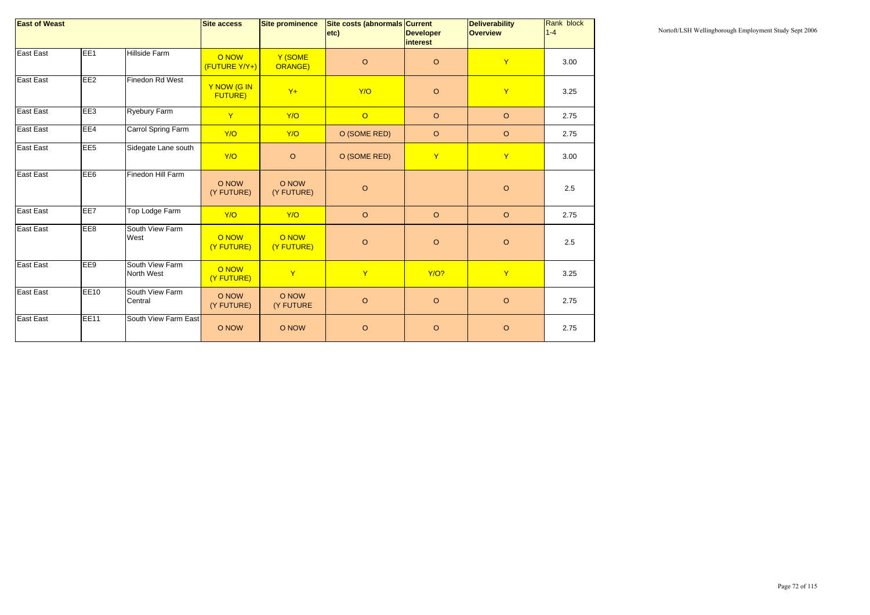| <b>East of Weast</b> |                 |                               | <b>Site access</b>            | <b>Site prominence</b> | Site costs (abnormals Current<br>etc) | <b>Developer</b><br><i>interest</i> | <b>Deliverability</b><br><b>Overview</b> | <b>Rank block</b><br>$1 - 4$ |
|----------------------|-----------------|-------------------------------|-------------------------------|------------------------|---------------------------------------|-------------------------------------|------------------------------------------|------------------------------|
| <b>East East</b>     | EE <sub>1</sub> | Hillside Farm                 | O NOW<br>(FUTURE Y/Y+)        | Y (SOME<br>ORANGE)     | $\circ$                               | $\circ$                             | $\mathsf{Y}$                             | 3.00                         |
| <b>East East</b>     | EE <sub>2</sub> | <b>Finedon Rd West</b>        | Y NOW (G IN<br><b>FUTURE)</b> | $Y+$                   | Y/O                                   | $\circ$                             | Y                                        | 3.25                         |
| East East            | EE <sub>3</sub> | <b>Ryebury Farm</b>           | $\mathsf{Y}$                  | Y/O                    | $\overline{O}$                        | $\circ$                             | $\circ$                                  | 2.75                         |
| <b>East East</b>     | EE4             | Carrol Spring Farm            | Y/O                           | Y/O                    | O (SOME RED)                          | $\circ$                             | $\circ$                                  | 2.75                         |
| East East            | EE <sub>5</sub> | Sidegate Lane south           | Y/O                           | $\circ$                | O (SOME RED)                          | $\mathbf Y$                         | Y                                        | 3.00                         |
| <b>East East</b>     | EE <sub>6</sub> | Finedon Hill Farm             | O NOW<br>(Y FUTURE)           | O NOW<br>(Y FUTURE)    | $\circ$                               |                                     | $\circ$                                  | 2.5                          |
| <b>East East</b>     | EE7             | Top Lodge Farm                | Y/O                           | Y/O                    | $\mathsf O$                           | $\circ$                             | $\circ$                                  | 2.75                         |
| East East            | EE8             | South View Farm<br>West       | O NOW<br>(Y FUTURE)           | O NOW<br>(Y FUTURE)    | $\circ$                               | $\circ$                             | $\circ$                                  | 2.5                          |
| <b>East East</b>     | EE9             | South View Farm<br>North West | O NOW<br>(Y FUTURE)           | $\mathsf{Y}$           | $\mathsf{Y}$                          | <b>Y/O?</b>                         | $\mathsf{Y}$                             | 3.25                         |
| <b>East East</b>     | <b>EE10</b>     | South View Farm<br>Central    | O NOW<br>(Y FUTURE)           | O NOW<br>(Y FUTURE     | $\circ$                               | $\circ$                             | $\circ$                                  | 2.75                         |
| <b>East East</b>     | <b>EE11</b>     | South View Farm East          | O NOW                         | O NOW                  | $\mathsf O$                           | $\circ$                             | $\circ$                                  | 2.75                         |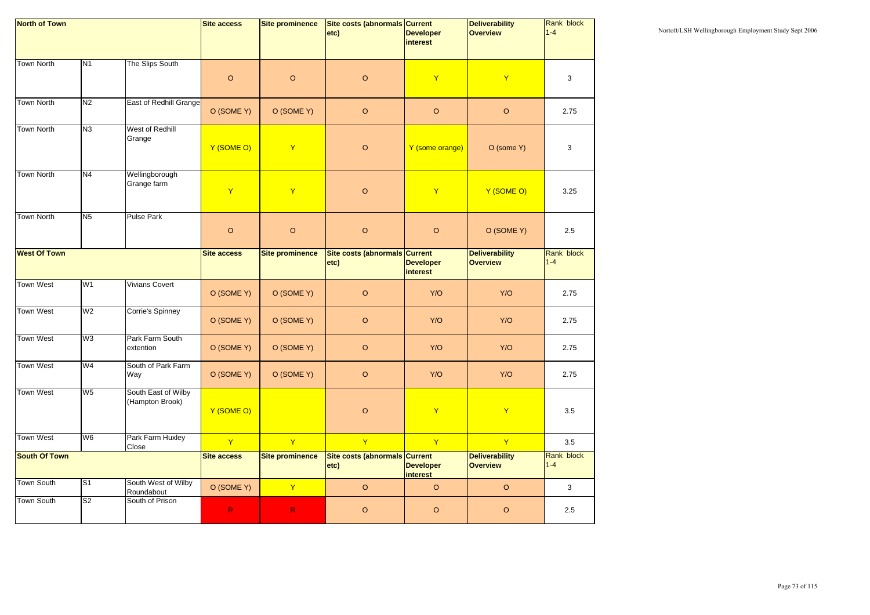| <b>North of Town</b> |                           |                                        | <b>Site access</b> | <b>Site prominence</b> | Site costs (abnormals Current                |                                     | <b>Deliverability</b><br><b>Overview</b> | Rank block<br>$1 - 4$ |
|----------------------|---------------------------|----------------------------------------|--------------------|------------------------|----------------------------------------------|-------------------------------------|------------------------------------------|-----------------------|
|                      |                           |                                        |                    |                        | $ $ etc $ $                                  | <b>Developer</b><br><i>interest</i> |                                          |                       |
| <b>Town North</b>    | N <sub>1</sub>            | The Slips South                        |                    |                        |                                              |                                     |                                          |                       |
|                      |                           |                                        | $\circ$            | $\circ$                | $\mathsf O$                                  | $\mathbf{Y}$                        | $\mathbf{Y}$                             | 3                     |
| <b>Town North</b>    | N <sub>2</sub>            | East of Redhill Grange                 | O (SOME Y)         | O (SOME Y)             | $\mathsf O$                                  | $\circ$                             | $\circ$                                  | 2.75                  |
| <b>Town North</b>    | N <sub>3</sub>            | West of Redhill<br>Grange              | Y (SOME O)         | $\mathsf{Y}$           | $\mathsf O$                                  | Y (some orange)                     | O (some Y)                               | 3                     |
| <b>Town North</b>    | N <sub>4</sub>            | Wellingborough<br>Grange farm          | $\mathsf{Y}$       | $\mathsf{Y}$           | $\mathsf O$                                  | $\mathbf Y$                         | Y (SOME O)                               | 3.25                  |
| <b>Town North</b>    | N <sub>5</sub>            | <b>Pulse Park</b>                      | $\circ$            | $\circ$                | $\mathsf O$                                  | $\circ$                             | O (SOME Y)                               | 2.5                   |
| <b>West Of Town</b>  |                           |                                        | <b>Site access</b> | <b>Site prominence</b> | Site costs (abnormals Current<br>$ $ etc $ $ | <b>Developer</b><br><i>interest</i> | <b>Deliverability</b><br><b>Overview</b> | Rank block<br>$1 - 4$ |
| <b>Town West</b>     | W <sub>1</sub>            | <b>Vivians Covert</b>                  | O (SOME Y)         | O (SOME Y)             | $\mathsf O$                                  | Y/O                                 | Y/O                                      | 2.75                  |
| <b>Town West</b>     | W <sub>2</sub>            | Corrie's Spinney                       | O (SOME Y)         | O (SOME Y)             | $\mathsf O$                                  | Y/O                                 | Y/O                                      | 2.75                  |
| <b>Town West</b>     | W <sub>3</sub>            | Park Farm South<br>extention           | O (SOME Y)         | O (SOME Y)             | $\circ$                                      | Y/O                                 | Y/O                                      | 2.75                  |
| <b>Town West</b>     | W4                        | South of Park Farm<br>Way              | O (SOME Y)         | O (SOME Y)             | $\mathsf O$                                  | Y/O                                 | Y/O                                      | 2.75                  |
| <b>Town West</b>     | W <sub>5</sub>            | South East of Wilby<br>(Hampton Brook) | Y (SOME O)         |                        | $\mathsf O$                                  | $\mathsf{Y}$                        | $\mathbf{Y}$                             | 3.5                   |
| <b>Town West</b>     | W <sub>6</sub>            | Park Farm Huxley<br>Close              | $\mathsf{Y}$       | $\mathbf{Y}$           | $\mathsf{Y}$                                 | $\mathsf{Y}$                        | $\mathsf{Y}$                             | 3.5                   |
| <b>South Of Town</b> |                           |                                        | <b>Site access</b> | <b>Site prominence</b> | Site costs (abnormals Current<br>$ $ etc $ $ | <b>Developer</b><br><i>interest</i> | <b>Deliverability</b><br><b>Overview</b> | Rank block<br>$1 - 4$ |
| Town South           | $\overline{\mathsf{s}}$ 1 | South West of Wilby<br>Roundabout      | O (SOME Y)         | $\mathbf{Y}$           | $\circ$                                      | $\circ$                             | $\circ$                                  | 3                     |
| Town South           | $\overline{S2}$           | South of Prison                        | $\mathsf R$        | $\mathsf R$            | $\mathsf O$                                  | $\circ$                             | $\circ$                                  | 2.5                   |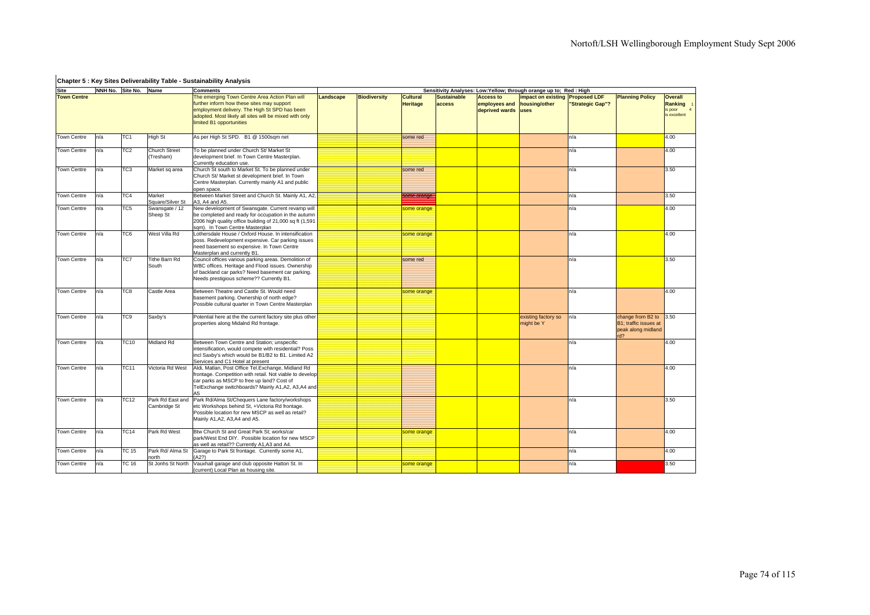## **Chapter 5 : Key Sites Deliverability Table - Sustainability Analysis**

| Site               |     | NNH No. Site No. Name |                                   | <b>Comments</b>                                                                                                                                                                                                   | Sensitivity Analyses: Low: Yellow; through orange up to; Red: High |                     |                                    |                              |                                                     |                                                                 |                  |                                                                         |                                   |  |  |  |
|--------------------|-----|-----------------------|-----------------------------------|-------------------------------------------------------------------------------------------------------------------------------------------------------------------------------------------------------------------|--------------------------------------------------------------------|---------------------|------------------------------------|------------------------------|-----------------------------------------------------|-----------------------------------------------------------------|------------------|-------------------------------------------------------------------------|-----------------------------------|--|--|--|
| <b>Town Centre</b> |     |                       |                                   | The emerging Town Centre Area Action Plan will<br>further inform how these sites may support<br>employment delivery. The High St SPD has been                                                                     | Landscape                                                          | <b>Biodiversity</b> | <b>Cultural</b><br><b>Heritage</b> | <b>Sustainable</b><br>access | <b>Access to</b><br>employees and<br>deprived wards | <b>impact on existing Proposed LDF</b><br>housing/other<br>uses | "Strategic Gap"? | <b>Planning Policy</b>                                                  | <b>Overall</b><br>Ranking<br>poor |  |  |  |
|                    |     |                       |                                   | adopted. Most likely all sites will be mixed with only<br>limited B1 opportunities                                                                                                                                |                                                                    |                     |                                    |                              |                                                     |                                                                 |                  |                                                                         | is excellent                      |  |  |  |
| Town Centre        | n/a | TC <sub>1</sub>       | <b>High St</b>                    | As per High St SPD. B1 @ 1500sqm net                                                                                                                                                                              |                                                                    |                     | some red                           |                              |                                                     |                                                                 | n/a              |                                                                         | 4.00                              |  |  |  |
| <b>Town Centre</b> | n/a | TC <sub>2</sub>       | <b>Church Street</b><br>(Tresham) | To be planned under Church St/ Market St<br>development brief. In Town Centre Masterplan.<br>Currently education use.                                                                                             |                                                                    |                     |                                    |                              |                                                     |                                                                 | n/a              |                                                                         | 4.00                              |  |  |  |
| <b>Town Centre</b> | n/a | TC3                   | Market sq area                    | Church St south to Market St. To be planned under<br>Church St/ Market st development brief. In Town<br>Centre Masterplan. Currently mainly A1 and public<br>open space.                                          |                                                                    |                     | some red                           |                              |                                                     |                                                                 | n/a              |                                                                         | 3.50                              |  |  |  |
| Town Centre        | n/a | TC4                   | Market<br>Square/Silver St        | Between Market Street and Church St. Mainly A1, A2,<br>43, A4 and A5.                                                                                                                                             |                                                                    |                     | some orange                        |                              |                                                     |                                                                 | n/a              |                                                                         | 3.50                              |  |  |  |
| <b>Town Centre</b> | n/a | TC5                   | Swansgate / 12<br>Sheep St        | New development of Swansgate. Current revamp will<br>be completed and ready for occupation in the autumn<br>2006 high quality office building of 21,000 sq ft (1,591<br>sqm). In Town Centre Masterplan           |                                                                    |                     | some orange                        |                              |                                                     |                                                                 | n/a              |                                                                         | 4.00                              |  |  |  |
| <b>Town Centre</b> | n/a | TC <sub>6</sub>       | West Villa Rd                     | Lothersdale House / Oxford House. In intensification<br>poss. Redevelopment expensive. Car parking issues<br>need basement so expensive. In Town Centre<br>Masterplan and currently B1.                           |                                                                    |                     | some orange                        |                              |                                                     |                                                                 | n/a              |                                                                         | 4.00                              |  |  |  |
| <b>Town Centre</b> | n/a | TC7                   | <b>Tithe Barn Rd</b><br>South     | Council offices various parking areas. Demolition of<br>WBC offices. Heritage and Flood issues. Ownership<br>of backland car parks? Need basement car parking.<br>Needs prestigious scheme?? Currently B1.        |                                                                    |                     | some red                           |                              |                                                     |                                                                 | n/a              |                                                                         | 3.50                              |  |  |  |
| <b>Town Centre</b> | n/a | TC8                   | Castle Area                       | Between Theatre and Castle St. Would need<br>basement parking. Ownership of north edge?<br>Possible cultural quarter in Town Centre Masterplan                                                                    |                                                                    |                     | some orange                        |                              |                                                     |                                                                 | n/a              |                                                                         | 4.00                              |  |  |  |
| Town Centre        | n/a | TC9                   | Saxby's                           | Potential here at the the current factory site plus other<br>properties along Midalnd Rd frontage.                                                                                                                |                                                                    |                     |                                    |                              |                                                     | existing factory so<br>might be Y                               | n/a              | change from B2 to<br>B1: traffic issues at<br>peak along midland<br>rd2 | 3.50                              |  |  |  |
| Town Centre        | n/a | <b>TC10</b>           | Midland Rd                        | Between Town Centre and Station; unspecific<br>intensification, would compete with residential? Poss<br>incl Saxby's which would be B1/B2 to B1. Limited A2<br>Services and C1 Hotel at present                   |                                                                    |                     |                                    |                              |                                                     |                                                                 | n/a              |                                                                         | 4.00                              |  |  |  |
| Town Centre        | n/a | TC11                  | Victoria Rd West                  | Aldi, Matlan, Post Office Tel.Exchange, Midland Rd<br>frontage. Competition with retail. Not viable to develop<br>car parks as MSCP to free up land? Cost of<br>TelExchange switchboards? Mainly A1,A2, A3,A4 and |                                                                    |                     |                                    |                              |                                                     |                                                                 | n/a              |                                                                         | 4.00                              |  |  |  |
| Town Centre        | n/a | <b>TC12</b>           | Park Rd East and<br>Cambridge St  | Park Rd/Alma St/Chequers Lane factory/workshops<br>etc Workshops behind St, +Victoria Rd frontage.<br>Possible location for new MSCP as well as retail?<br>Mainly A1, A2, A3, A4 and A5.                          |                                                                    |                     |                                    |                              |                                                     |                                                                 | n/a              |                                                                         | 3.50                              |  |  |  |
| Town Centre        | n/a | <b>TC14</b>           | Park Rd West                      | Btw Church St and Great Park St; works/car<br>park/West End DIY. Possible location for new MSCP<br>as well as retail?? Currently A1.A3 and A4.                                                                    |                                                                    |                     | some orange                        |                              |                                                     |                                                                 | n/a              |                                                                         | 4.00                              |  |  |  |
| <b>Town Centre</b> | n/a | <b>TC 15</b>          | Park Rd/ Alma St<br><b>orth</b>   | Garage to Park St frontage. Currently some A1,<br>A2?)                                                                                                                                                            |                                                                    |                     |                                    |                              |                                                     |                                                                 | n/a              |                                                                         | 4.00                              |  |  |  |
| Town Centre        | n/a | <b>TC 16</b>          | St Jonhs St North                 | Vauxhall garage and club opposite Hatton St. In<br>(current) Local Plan as housing site.                                                                                                                          |                                                                    |                     | some orange                        |                              |                                                     |                                                                 | n/a              |                                                                         | 3.50                              |  |  |  |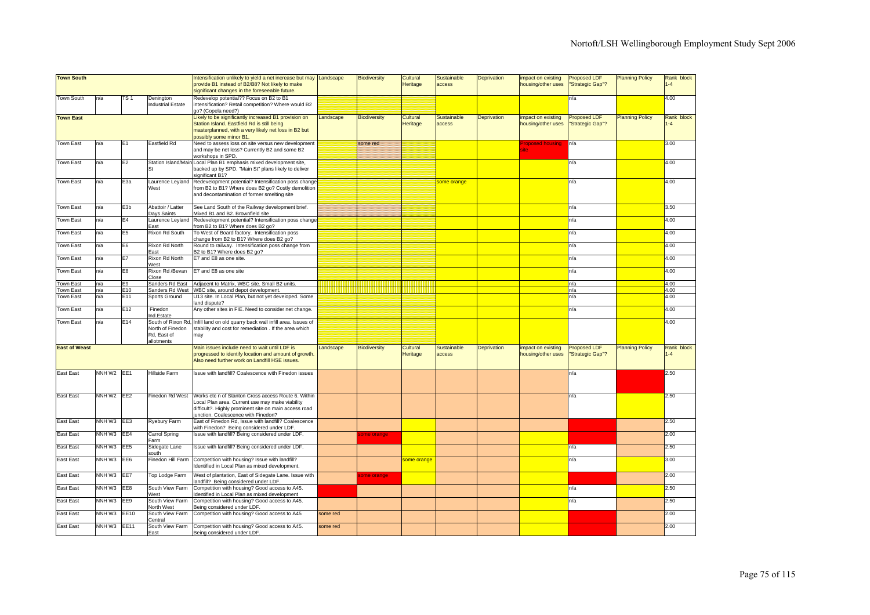| <b>Town South</b>      |                                    |                 |                                                                     | Intensification unlikely to yield a net increase but may Landscape<br>provide B1 instead of B2/B8? Not likely to make<br>significant changes in the foreseeable future.                               |           | <b>Biodiversity</b> | Cultural<br>Heritage | <b>Sustainable</b><br>access | Deprivation        | impact on existing<br>housing/other uses | <b>Proposed LDF</b><br>"Strategic Gap"? | <b>Planning Policy</b> | Rank block<br>$1 - 4$ |
|------------------------|------------------------------------|-----------------|---------------------------------------------------------------------|-------------------------------------------------------------------------------------------------------------------------------------------------------------------------------------------------------|-----------|---------------------|----------------------|------------------------------|--------------------|------------------------------------------|-----------------------------------------|------------------------|-----------------------|
| <b>Town South</b>      | n/a                                | TS 1            | Denington<br><b>Industrial Estate</b>                               | Redevelop potential?? Focus on B2 to B1<br>intensification? Retail competition? Where would B2<br>go? (Copela need?)                                                                                  |           |                     |                      |                              |                    |                                          | n/a                                     |                        | 4.00                  |
| <b>Town East</b>       |                                    |                 |                                                                     | Likely to be significantly increased B1 provision on<br>Station Island. Eastfield Rd is still being<br>masterplanned, with a very likely net loss in B2 but<br>ossibly some minor B1.                 | Landscape | <b>Biodiversity</b> | Cultural<br>Heritage | Sustainable<br>access        | <b>Deprivation</b> | impact on existing<br>housing/other uses | Proposed LDF<br>'Strategic Gap"?        | <b>Planning Policy</b> | Rank block<br>$1 - 4$ |
| <b>Town East</b>       | n/a                                | E1              | Eastfield Rd                                                        | Need to assess loss on site versus new development<br>and may be net loss? Currently B2 and some B2<br>workshops in SPD.                                                                              |           | some red            |                      |                              |                    | roposed housing<br>ite                   | n/a                                     |                        | 3.00                  |
| Town East              | n/a                                | E <sub>2</sub>  | Station Island/Main                                                 | Local Plan B1 emphasis mixed development site,<br>backed up by SPD. "Main St" plans likely to deliver<br>ignificant B1?                                                                               |           |                     |                      |                              |                    |                                          | n/a                                     |                        | 4.00                  |
| <b>Town East</b>       | n/a                                | E <sub>3a</sub> | Laurence Leyland<br>West                                            | Redevelopment potential? Intensification poss change<br>from B2 to B1? Where does B2 go? Costly demolition<br>and decontamination of former smelting site                                             |           |                     |                      | some orange                  |                    |                                          | n/a                                     |                        | 4.00                  |
| Town East              | n/a                                | E3b             | Abattoir / Latter<br>Days Saints                                    | See Land South of the Railway development brief.<br>Mixed B1 and B2. Brownfield site                                                                                                                  |           |                     |                      |                              |                    |                                          | n/a                                     |                        | 3.50                  |
| Town East              | n/a                                | E4              | Laurence Leyland<br>East                                            | Redevelopment potential? Intensification poss change<br>from B2 to B1? Where does B2 go?                                                                                                              |           |                     |                      |                              |                    |                                          | n/a                                     |                        | 4.00                  |
| Town East              | n/a                                | E <sub>5</sub>  | Rixon Rd South                                                      | To West of Board factory. Intensification poss<br>change from B2 to B1? Where does B2 go?                                                                                                             |           |                     |                      |                              |                    |                                          | n/a                                     |                        | 4.00                  |
| Town East              | n/a                                | E <sub>6</sub>  | Rixon Rd North<br>East                                              | Round to railway. Intensification poss change from<br>B2 to B1? Where does B2 go?                                                                                                                     |           |                     |                      |                              |                    |                                          | n/a                                     |                        | 4.00                  |
| Town East              | n/a                                | E7              | Rixon Rd North<br>West                                              | E7 and E8 as one site.                                                                                                                                                                                |           |                     |                      |                              |                    |                                          | n/a                                     |                        | 4.00                  |
| Town East              | n/a                                | E8              | Rixon Rd /Bevan<br>Close                                            | E7 and E8 as one site                                                                                                                                                                                 |           |                     |                      |                              |                    |                                          | n/a                                     |                        | 4.00                  |
| Town East              | n/a                                | E9<br>E10       | Sanders Rd East<br>Sanders Rd West                                  | Adjacent to Matrix, WBC site. Small B2 units.                                                                                                                                                         |           |                     |                      |                              |                    |                                          | n/a                                     |                        | 4.00<br>4.00          |
| Town East<br>Town East | n/a<br>n/a                         | E11             | Sports Ground                                                       | WBC site, around depot development.<br>U13 site. In Local Plan, but not yet developed. Some<br>land dispute?                                                                                          |           |                     |                      |                              |                    |                                          | n/a<br>n/a                              |                        | 4.00                  |
| Town East              | n/a                                | E12             | Finedon<br>Ind.Estate                                               | Any other sites in FIE. Need to consider net change.                                                                                                                                                  |           |                     |                      |                              |                    |                                          | n/a                                     |                        | 4.00                  |
| <b>Town East</b>       | n/a                                | E14             | South of Rixon Rd.<br>North of Finedon<br>Rd. East of<br>allotments | Infill land on old quarry back wall infill area. Issues of<br>stability and cost for remediation . If the area which<br>may                                                                           |           |                     |                      |                              |                    |                                          |                                         |                        | 4.00                  |
| <b>East of Weast</b>   |                                    |                 |                                                                     | Main issues include need to wait until LDF is<br>progressed to identify location and amount of growth.<br>Also need further work on Landfill HSE issues.                                              | Landscape | <b>Biodiversity</b> | Cultural<br>Heritage | <b>Sustainable</b><br>access | Deprivation        | impact on existing<br>housing/other uses | <b>Proposed LDF</b><br>"Strategic Gap"? | <b>Planning Policy</b> | Rank block<br>$-4$    |
| East East              | NNH W2 EE1                         |                 | Hillside Farm                                                       | Issue with landfill? Coalescence with Finedon issues                                                                                                                                                  |           |                     |                      |                              |                    |                                          | n/a                                     |                        | 2.50                  |
| East East              | NNH W <sub>2</sub> EE <sub>2</sub> |                 | Finedon Rd West                                                     | Works etc n of Stanton Cross access Route 6. Within<br>Local Plan area. Current use may make viability<br>difficult?. Highly prominent site on main access road<br>unction. Coalescence with Finedon? |           |                     |                      |                              |                    |                                          | n/a                                     |                        | 2.50                  |
| <b>East East</b>       | NNH W3 EE3                         |                 | Ryebury Farm                                                        | East of Finedon Rd, Issue with landfill? Coalescence<br>with Finedon? Being considered under LDF.                                                                                                     |           |                     |                      |                              |                    |                                          |                                         |                        | 2.50                  |
| East East              | NNH W3                             | EE4             | Carrol Spring<br>Farm                                               | Issue with landfill? Being considered under LDF.                                                                                                                                                      |           | ome orange          |                      |                              |                    |                                          |                                         |                        | 2.00                  |
| East East              | NNH W3                             | EE <sub>5</sub> | Sidegate Lane<br>south                                              | Issue with landfill? Being considered under LDF.                                                                                                                                                      |           |                     |                      |                              |                    |                                          | n/a                                     |                        | 2.50                  |
| East East              | NNH W3                             | EE6             | Finedon Hill Farm                                                   | Competition with housing? Issue with landfill?<br>Identified in Local Plan as mixed development.                                                                                                      |           |                     | some orange          |                              |                    |                                          | n/a                                     |                        | 3.00                  |
| <b>East East</b>       | NNH W3 EE7                         |                 | Top Lodge Farm                                                      | West of plantation, East of Sidegate Lane. Issue with<br>andfill? Being considered under LDF.                                                                                                         |           | ome orange          |                      |                              |                    |                                          |                                         |                        | 2.00                  |
| East East              | NNH W3                             | EE8             | South View Farm<br>West                                             | Competition with housing? Good access to A45.<br>dentified in Local Plan as mixed development                                                                                                         |           |                     |                      |                              |                    |                                          | n/a                                     |                        | 2.50                  |
| East East              | NNH W3                             | EE9             | South View Farm<br>North West                                       | Competition with housing? Good access to A45.<br>Being considered under LDF.                                                                                                                          |           |                     |                      |                              |                    |                                          | n/a                                     |                        | 2.50                  |
| East East              | NNH W3                             | EE10            | South View Farm<br>Central                                          | Competition with housing? Good access to A45                                                                                                                                                          | some red  |                     |                      |                              |                    |                                          |                                         |                        | 2.00                  |
| East East              | NNH W3                             | EE11            | South View Farm<br>East                                             | Competition with housing? Good access to A45.<br>Being considered under LDF.                                                                                                                          | some red  |                     |                      |                              |                    |                                          |                                         |                        | 2.00                  |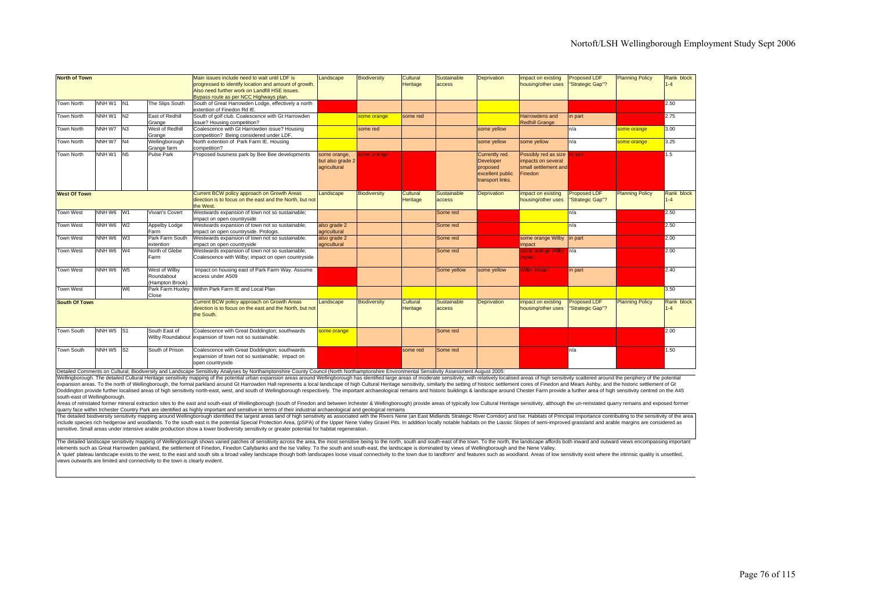| <b>North of Town</b> |                                   |                 |                                                | Main issues include need to wait until LDF is<br>progressed to identify location and amount of growth.<br>Also need further work on Landfill HSE issues.<br>Bypass route as per NCC Highways plan. | Landscape                                        | <b>Biodiversity</b> | Cultural<br>Heritage | Sustainable<br>access | <b>Deprivation</b>                                                              | impact on existing<br>housing/other uses                                      | Proposed LDF<br>"Strategic Gap"?        | <b>Planning Policy</b> | Rank block<br>$1 - 4$ |
|----------------------|-----------------------------------|-----------------|------------------------------------------------|----------------------------------------------------------------------------------------------------------------------------------------------------------------------------------------------------|--------------------------------------------------|---------------------|----------------------|-----------------------|---------------------------------------------------------------------------------|-------------------------------------------------------------------------------|-----------------------------------------|------------------------|-----------------------|
| <b>Town North</b>    | NNH W1                            | IN <sub>1</sub> | The Slips South                                | South of Great Harrowden Lodge, effectively a north<br>extention of Finedon Rd IE.                                                                                                                 |                                                  |                     |                      |                       |                                                                                 |                                                                               |                                         |                        | 2.50                  |
| <b>Town North</b>    | NNH W1                            | N <sub>2</sub>  | East of Redhill<br>Grange                      | South of golf club. Coalescence with Gt Harrowden<br>issue? Housing competition?                                                                                                                   |                                                  | some orange         | some red             |                       |                                                                                 | Harrowdens and<br><b>Redhill Grange</b>                                       | in part                                 |                        | 2.75                  |
| <b>Town North</b>    | NNH W7 N3                         |                 | West of Redhill<br>Grange                      | Coalescence with Gt Harrowden issue? Housing<br>competition? Being considered under LDF.                                                                                                           |                                                  | some red            |                      |                       | some yellow                                                                     |                                                                               | n/a                                     | some orange            | 3.00                  |
| <b>Town North</b>    | NNH W7 N4                         |                 | Wellingborough<br>Grange farm                  | North extention of Park Farm IE. Housing<br>competition?                                                                                                                                           |                                                  |                     |                      |                       | some yellow                                                                     | some yellow                                                                   | n/a                                     | some orange            | 3.25                  |
| <b>Town North</b>    | NNH W1                            | N <sub>5</sub>  | <b>Pulse Park</b>                              | Proposed business park by Bee Bee developments                                                                                                                                                     | some orange.<br>but also grade 2<br>agricultural | ome orange          |                      |                       | Currently red.<br>Developer<br>proposed<br>excellent public<br>transport links. | Possibly red as size<br>impacts on several<br>small settlement and<br>Finedon | n part                                  |                        | 1.5                   |
| <b>West Of Town</b>  |                                   |                 |                                                | Current BCW policy approach on Growth Areas<br>direction is to focus on the east and the North, but not<br>the West.                                                                               | Landscape                                        | <b>Biodiversity</b> | Cultural<br>Heritage | Sustainable<br>access | <b>Deprivation</b>                                                              | impact on existing<br>housing/other uses                                      | <b>Proposed LDF</b><br>'Strategic Gap"? | <b>Planning Policy</b> | Rank block<br>$1 - 4$ |
| <b>Town West</b>     | NNH W6 W1                         |                 | Vivian's Covert                                | Westwards expansion of town not so sustainable;<br>impact on open countryside                                                                                                                      |                                                  |                     |                      | Some red              |                                                                                 |                                                                               | n/a                                     |                        | 2.50                  |
| <b>Town West</b>     | NNH W6 W2                         |                 | Appelby Lodge<br>Farm                          | Westwards expansion of town not so sustainable;<br>impact on open countryside. Prologis.                                                                                                           | also grade 2<br>agricultural                     |                     |                      | Some red              |                                                                                 |                                                                               | n/a                                     |                        | 2.50                  |
| <b>Town West</b>     | NNH W6 W3                         |                 | Park Farm South<br>extention                   | Westwards expansion of town not so sustainable;<br>impact on open countryside                                                                                                                      | also grade 2<br>agricultural                     |                     |                      | Some red              |                                                                                 | some orange Wilby in part<br>impact                                           |                                         |                        | 2.00                  |
| <b>Town West</b>     | NNH W6 W4                         |                 | North of Glebe<br>Farm                         | Westwards expansion of town not so sustainable;<br>Coalescence with Wilby; impact on open countryside                                                                                              |                                                  |                     |                      | Some red              |                                                                                 | some orange Wilby<br>npact                                                    | n/a                                     |                        | 2.00                  |
| Town West            | NNH W6 W5                         |                 | West of Wilby<br>Roundabout<br>(Hampton Brook) | Impact on housing east of Park Farm Way. Assume<br>access under A509                                                                                                                               |                                                  |                     |                      | Some yellow           | some yellow                                                                     | <b>Vilby impact</b>                                                           | in part                                 |                        | 2.40                  |
| <b>Town West</b>     |                                   | W <sub>6</sub>  | Park Farm Huxley<br>Close                      | Within Park Farm IE and Local Plan                                                                                                                                                                 |                                                  |                     |                      |                       |                                                                                 |                                                                               |                                         |                        | 3.50                  |
| <b>South Of Town</b> |                                   |                 |                                                | Current BCW policy approach on Growth Areas<br>direction is to focus on the east and the North, but not<br>the South.                                                                              | Landscape                                        | <b>Biodiversity</b> | Cultural<br>Heritage | Sustainable<br>access | <b>Deprivation</b>                                                              | impact on existing<br>housing/other uses                                      | <b>Proposed LDF</b><br>'Strategic Gap"? | <b>Planning Policy</b> | Rank block<br>$1 - 4$ |
| <b>Town South</b>    | NNH W <sub>5</sub> S <sub>1</sub> |                 | South East of<br>Wilby Roundabout              | Coalescence with Great Doddington; southwards<br>expansion of town not so sustainable.                                                                                                             | some orange                                      |                     |                      | Some red              |                                                                                 |                                                                               |                                         |                        | 2.00                  |
| <b>Town South</b>    | NNH W <sub>5</sub> S <sub>2</sub> |                 | South of Prison                                | Coalescence with Great Doddington; southwards<br>expansion of town not so sustainable; impact on<br>open countryside                                                                               |                                                  |                     | some red             | Some red              |                                                                                 |                                                                               | n/a                                     |                        | 1.50                  |

Detailed Comments on Cultural, Biodiversity and Landscape Sensitivity Analyses by Northamptonshire County Council (North Northamptonshire Environmental Sensitivity Assessment August 2005:<br>Wellingborough. The detailed Cultu expansion areas. To the north of Wellingborough, the formal parkland around Gt Harrowden Hall represents a local landscape of high Cultural Heritage sensitivity, similarly the setting of historic settlement cores of Finedo Doddington provide further localised areas of high sensitivity north-east, west, and south of Wellingborough respectively. The important archaeological remains and historic buildings & landscape around Chester Farm provide south-east of Wellingborough.

Areas of reinstated former mineral extraction sites to the east and south-east of Wellingborough (south of Finedon and between Irchester & Wellingborough) provide areas of typically low Cultural Heritage sensitivity, although the un-reinstated quarry remains and exposed former quarry face within Irchester Country Park are identified as highly important and sensitive in terms of their industrial archaeological and geological remains

The detailed biodiversity sensitivity mapping around Wellingborough identified the largest areas land of high sensitivity as associated with the Rivers Nene (an East Midlands Strategic River Corridor) and Ise. Habitats of include species rich hedgerow and woodlands. To the south east is the potential Special Protection Area, (pSPA) of the Upper Nene Valley Gravel Pits. In addition locally notable habitats on the Liassic Slopes of semi-impro sensitive. Small areas under intensive arable production show a lower biodiversity sensitivity or greater potential for habitat regeneration.

The detailed landscape sensitivity mapping of Wellingborough shows varied patches of sensitivity across the area, the most sensitive being to the north, south and south-east of the town. To the north, the landscape affords elements such as Great Harrowden parkland, the settlement of Finedon, Finedon Callybanks and the Ise Valley. To the south and south-east, the landscape is dominated by views of Wellingborough and the Nene Valley.

A 'quiet' plateau landscape exists to the west, to the east and south sits a broad valley landscape though both landscapes loose visual connectivity to the town due to landform' and features such as woodland. Areas of low sensitivity exist where the intrinsic quality is unsettled, views outwards are limited and connectivity to the town is clearly evident.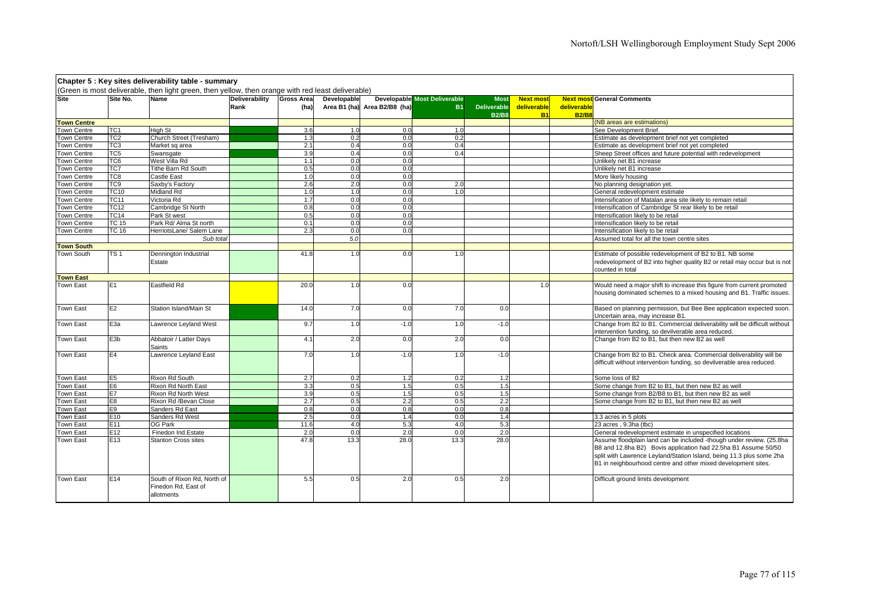|                    |                  | Chapter 5 : Key sites deliverability table - summary                                               |                |                   |             |                              |                                     |                    |                  |              |                                                                           |
|--------------------|------------------|----------------------------------------------------------------------------------------------------|----------------|-------------------|-------------|------------------------------|-------------------------------------|--------------------|------------------|--------------|---------------------------------------------------------------------------|
|                    |                  | (Green is most deliverable, then light green, then yellow, then orange with red least deliverable) |                |                   |             |                              |                                     |                    |                  |              |                                                                           |
| Site               | Site No.         | <b>Name</b>                                                                                        | Deliverability | <b>Gross Area</b> | Developable |                              | <b>Developable Most Deliverable</b> | <b>Most</b>        | <b>Next most</b> |              | <b>Next most General Comments</b>                                         |
|                    |                  |                                                                                                    | Rank           | (ha)              |             | Area B1 (ha) Area B2/B8 (ha) | <b>B1</b>                           | <b>Deliverable</b> | deliverable      | deliverable  |                                                                           |
|                    |                  |                                                                                                    |                |                   |             |                              |                                     | <b>B2/B8</b>       | <b>B1</b>        | <b>B2/B8</b> |                                                                           |
| <b>Town Centre</b> |                  |                                                                                                    |                |                   |             |                              |                                     |                    |                  |              | (NB areas are estimations)                                                |
| <b>Town Centre</b> | TC1              | <b>High St</b>                                                                                     |                | 3.6               | 1.0         | 0.0                          | 1.0                                 |                    |                  |              | See Development Brief.                                                    |
| <b>Town Centre</b> | TC <sub>2</sub>  | Church Street (Tresham)                                                                            |                | 1.3               | 0.2         | 0.0                          | 0.2                                 |                    |                  |              | Estimate as development brief not yet completed                           |
| Town Centre        | TC3              | Market sq area                                                                                     |                | 2.1               | 0.4         | 0.0                          | 0.4                                 |                    |                  |              | Estimate as development brief not yet completed                           |
| Town Centre        | TC5              | Swansgate                                                                                          |                | 3.9               | 0.4         | 0.0                          | 0.4                                 |                    |                  |              | Sheep Street offices and future potential with redevelopment              |
| <b>Town Centre</b> | TC6              | West Villa Rd                                                                                      |                | 1.1               | 0.0         | 0.0                          |                                     |                    |                  |              | Unlikely net B1 increase                                                  |
| Town Centre        | TC7              | Tithe Barn Rd South                                                                                |                | 0.5               | 0.0         | 0.0                          |                                     |                    |                  |              | Unlikely net B1 increase                                                  |
| Town Centre        | TC8              | Castle East                                                                                        |                | 1 <sub>0</sub>    | 0.0         | 0.0                          |                                     |                    |                  |              | More likely housing                                                       |
| <b>Town Centre</b> | TC <sub>9</sub>  | Saxby's Factory                                                                                    |                | 2.6               | 2.0         | 0.0                          | 2.0                                 |                    |                  |              | No planning designation yet.                                              |
| Town Centre        | <b>TC10</b>      | <b>Midland Rd</b>                                                                                  |                | 1.0               | 1.0         | 0.0                          | 1.0                                 |                    |                  |              | General redevelopment estimate                                            |
| Town Centre        | TC11             | Victoria Rd                                                                                        |                | 1.7               | 0.0         | 0.0                          |                                     |                    |                  |              | Intensification of Matalan area site likely to remain retail              |
| Town Centre        | TC12             | Cambridge St North                                                                                 |                | 0.8               | 0.0         | 0.0                          |                                     |                    |                  |              | Intensification of Cambridge St rear likely to be retail                  |
| <b>Town Centre</b> | <b>TC14</b>      | Park St west                                                                                       |                | 0.5               | 0.0         | 0.0                          |                                     |                    |                  |              | Intensification likely to be retail                                       |
| <b>Town Centre</b> | <b>TC 15</b>     | Park Rd/ Alma St north                                                                             |                | 0.1               | 0.0         | 0.0                          |                                     |                    |                  |              | Intensification likely to be retail                                       |
| Town Centre        | TC 16            | HerriotsLane/ Salem Lane                                                                           |                | 2.3               | 0.0         | 0.0                          |                                     |                    |                  |              | Intensification likely to be retail                                       |
|                    |                  | Sub total                                                                                          |                |                   | 5.0         |                              |                                     |                    |                  |              | Assumed total for all the town centre sites                               |
| <b>Town South</b>  |                  |                                                                                                    |                |                   |             |                              |                                     |                    |                  |              |                                                                           |
| Town South         | $\overline{TS1}$ | Dennington Industrial                                                                              |                | 41.8              | 1.0         | 0.0                          | 1.0                                 |                    |                  |              | Estimate of possible redevelopment of B2 to B1. NB some                   |
|                    |                  | Estate                                                                                             |                |                   |             |                              |                                     |                    |                  |              | redevelopment of B2 into higher quality B2 or retail may occur but is not |
|                    |                  |                                                                                                    |                |                   |             |                              |                                     |                    |                  |              | counted in total                                                          |
| <b>Town East</b>   |                  |                                                                                                    |                |                   |             |                              |                                     |                    |                  |              |                                                                           |
| Town East          | E1               | <b>Eastfield Rd</b>                                                                                |                | 20.0              | 1.0         | 0.0                          |                                     |                    | 1.0              |              | Would need a major shift to increase this figure from current promoted    |
|                    |                  |                                                                                                    |                |                   |             |                              |                                     |                    |                  |              | housing dominated schemes to a mixed housing and B1. Traffic issues.      |
|                    |                  |                                                                                                    |                |                   |             |                              |                                     |                    |                  |              |                                                                           |
| Town East          | E2               | Station Island/Main St                                                                             |                | 14.0              | 7.0         | 0.0                          | 7.0                                 | 0.0                |                  |              | Based on planning permission, but Bee Bee application expected soon.      |
|                    |                  |                                                                                                    |                |                   |             |                              |                                     |                    |                  |              | Uncertain area, may increase B1.                                          |
| Town East          | E3a              | Lawrence Leyland West                                                                              |                | 9.7               | 1.0         | $-1.0$                       | 1.0                                 | $-1.0$             |                  |              | Change from B2 to B1. Commercial deliverability will be difficult without |
|                    |                  |                                                                                                    |                |                   |             |                              |                                     |                    |                  |              | intervention funding, so devilverable area reduced.                       |
| Town East          | E3b              | Abbatoir / Latter Days                                                                             |                | 4.1               | 2.0         | 0.0                          | 2.0                                 | 0.0                |                  |              | Change from B2 to B1, but then new B2 as well                             |
|                    |                  | Saints                                                                                             |                |                   |             |                              |                                     |                    |                  |              |                                                                           |
| Town East          | E4               | Lawrence Leyland East                                                                              |                | 7.0               | 1.0         | $-1.0$                       | 1.0                                 | $-1.0$             |                  |              | Change from B2 to B1. Check area. Commercial deliverability will be       |
|                    |                  |                                                                                                    |                |                   |             |                              |                                     |                    |                  |              | difficult without intervention funding, so devilverable area reduced.     |
|                    |                  |                                                                                                    |                |                   |             |                              |                                     |                    |                  |              |                                                                           |
| Town East          | E <sub>5</sub>   | Rixon Rd South                                                                                     |                | 2.7               | 0.2         | 1.2                          | 0.2                                 | 1.2                |                  |              | Some loss of B2                                                           |
| Town East          | E6               | Rixon Rd North East                                                                                |                | 3.3               | 0.5         | 1.5                          | 0.5                                 | 1.5                |                  |              | Some change from B2 to B1, but then new B2 as well                        |
| <b>Town East</b>   | E7               | Rixon Rd North West                                                                                |                | 3.9               | 0.5         | 1.5                          | 0.5                                 | 1.5                |                  |              | Some change from B2/B8 to B1, but then new B2 as well                     |
| <b>Town East</b>   | E8               | Rixon Rd /Bevan Close                                                                              |                | 2.7               | 0.5         | 2.2                          | 0.5                                 | 2.2                |                  |              | Some change from B2 to B1, but then new B2 as well                        |
| Town East          | E9               | Sanders Rd East                                                                                    |                | 0.8               | 0.0         | 0.8                          | 0.0                                 | 0.8                |                  |              |                                                                           |
| Town East          | E <sub>10</sub>  | Sanders Rd West                                                                                    |                | 2.5               | 0.0         | 1.4                          | 0.0                                 | 1.4                |                  |              | 3.3 acres in 5 plots                                                      |
| Town East          | E11              | OG Park                                                                                            |                | 11.6              | 4.0         | 5.3                          | 4.0                                 | 5.3                |                  |              | 23 acres, 9.3ha (tbc)                                                     |
| Town East          | E12              | Finedon Ind.Estate                                                                                 |                | 2.0               | 0.0         | 2.0                          | 0.0                                 | 2.0                |                  |              | General redevelopment estimate in unspecified locations                   |
| Town East          | E <sub>13</sub>  | <b>Stanton Cross sites</b>                                                                         |                | 47.8              | 13.3        | 28.0                         | 13.3                                | 28.0               |                  |              | Assume floodplain land can be included -though under review. (25.8ha      |
|                    |                  |                                                                                                    |                |                   |             |                              |                                     |                    |                  |              | B8 and 12.8ha B2) Bovis application had 22.5ha B1 Assume 50/50            |
|                    |                  |                                                                                                    |                |                   |             |                              |                                     |                    |                  |              | split with Lawrence Leyland/Station Island, being 11.3 plus some 2ha      |
|                    |                  |                                                                                                    |                |                   |             |                              |                                     |                    |                  |              | B1 in neighbourhood centre and other mixed development sites.             |
|                    |                  |                                                                                                    |                |                   |             |                              |                                     |                    |                  |              |                                                                           |
| <b>Town East</b>   | E <sub>14</sub>  | South of Rixon Rd, North of                                                                        |                | 5.5               | 0.5         | 2.0                          | 0.5                                 | 2.0                |                  |              | Difficult ground limits development                                       |
|                    |                  | Finedon Rd, East of                                                                                |                |                   |             |                              |                                     |                    |                  |              |                                                                           |
|                    |                  | allotments                                                                                         |                |                   |             |                              |                                     |                    |                  |              |                                                                           |
|                    |                  |                                                                                                    |                |                   |             |                              |                                     |                    |                  |              |                                                                           |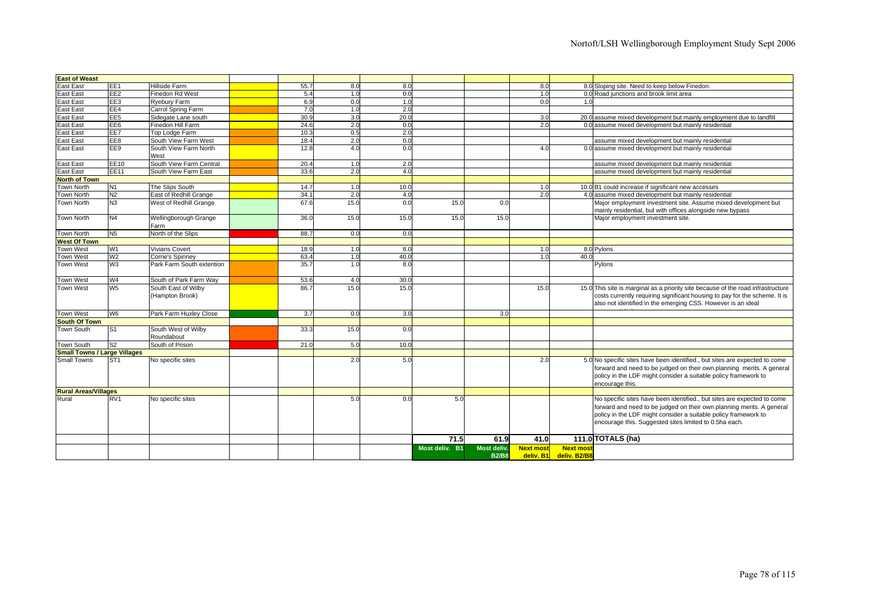| <b>East of Weast</b>                |                 |                                        |      |      |      |                |              |                  |                        |                                                                                                                                                                                                                                                                               |
|-------------------------------------|-----------------|----------------------------------------|------|------|------|----------------|--------------|------------------|------------------------|-------------------------------------------------------------------------------------------------------------------------------------------------------------------------------------------------------------------------------------------------------------------------------|
| <b>East East</b>                    | EE <sub>1</sub> | Hillside Farm                          | 55.7 | 8.0  | 8.0  |                |              | 8.0              |                        | 8.0 Sloping site. Need to keep below Finedon.                                                                                                                                                                                                                                 |
| <b>East East</b>                    | EE <sub>2</sub> | <b>Finedon Rd West</b>                 | 5.4  | 1.0  | 0.0  |                |              | 1.0              |                        | 0.0 Road junctions and brook limit area                                                                                                                                                                                                                                       |
| <b>East East</b>                    | EE3             | Ryebury Farm                           | 6.9  | 0.0  | 1.0  |                |              | 0.0              | 1.0                    |                                                                                                                                                                                                                                                                               |
| <b>East East</b>                    | EE4             | Carrol Spring Farm                     | 7.0  | 1.0  | 2.0  |                |              |                  |                        |                                                                                                                                                                                                                                                                               |
| <b>East East</b>                    | EE <sub>5</sub> | Sidegate Lane south                    | 30.9 | 3.0  | 20.0 |                |              | 3.0              |                        | 20.0 assume mixed development but mainly employment due to landfill                                                                                                                                                                                                           |
| <b>East East</b>                    | EE <sub>6</sub> | Finedon Hill Farm                      | 24.6 | 2.0  | 0.0  |                |              | 2.0              |                        | 0.0 assume mixed development but mainly residential                                                                                                                                                                                                                           |
| <b>East East</b>                    | EE7             | Top Lodge Farm                         | 10.3 | 0.5  | 2.0  |                |              |                  |                        |                                                                                                                                                                                                                                                                               |
| <b>East East</b>                    | EE8             | South View Farm West                   | 18.4 | 2.0  | 0.0  |                |              |                  |                        | assume mixed development but mainly residential                                                                                                                                                                                                                               |
| <b>East East</b>                    | EE9             | South View Farm North<br>West          | 12.8 | 4.0  | 0.0  |                |              | 4.0              |                        | 0.0 assume mixed development but mainly residential                                                                                                                                                                                                                           |
| <b>East East</b>                    | EE10            | South View Farm Central                | 20.4 | 1.0  | 2.0  |                |              |                  |                        | assume mixed development but mainly residential                                                                                                                                                                                                                               |
| <b>East East</b>                    | <b>EE11</b>     | South View Farm East                   | 33.6 | 2.0  | 4.0  |                |              |                  |                        | assume mixed development but mainly residential                                                                                                                                                                                                                               |
| <b>North of Town</b>                |                 |                                        |      |      |      |                |              |                  |                        |                                                                                                                                                                                                                                                                               |
| <b>Town North</b>                   | N <sub>1</sub>  | The Slips South                        | 14.7 | 1.0  | 10.0 |                |              | 1.0              |                        | 10.0 B1 could increase if significant new accesses                                                                                                                                                                                                                            |
| <b>Town North</b>                   | N <sub>2</sub>  | East of Redhill Grange                 | 34.1 | 2.0  | 4.0  |                |              | 2.0              |                        | 4.0 assume mixed development but mainly residential                                                                                                                                                                                                                           |
| <b>Town North</b>                   | N <sub>3</sub>  | West of Redhill Grange                 | 67.6 | 15.0 | 0.0  | 15.0           | 0.0          |                  |                        | Major employment investment site. Assume mixed development but<br>mainly residential, but with offices alongside new bypass                                                                                                                                                   |
| <b>Town North</b>                   | N <sub>4</sub>  | Wellingborough Grange<br>Farm          | 36.0 | 15.0 | 15.0 | 15.0           | 15.0         |                  |                        | Major employment investment site.                                                                                                                                                                                                                                             |
| <b>Town North</b>                   | N <sub>5</sub>  | North of the Slips                     | 88.7 | 0.0  | 0.0  |                |              |                  |                        |                                                                                                                                                                                                                                                                               |
| <b>West Of Town</b>                 |                 |                                        |      |      |      |                |              |                  |                        |                                                                                                                                                                                                                                                                               |
| <b>Town West</b>                    | W1              | <b>Vivians Covert</b>                  | 18.9 | 1.0  | 8.0  |                |              | 1.0              |                        | 8.0 Pylons                                                                                                                                                                                                                                                                    |
| <b>Town West</b>                    | W <sub>2</sub>  | Corrie's Spinney                       | 63.4 | 1.0  | 40.0 |                |              | 1.0              | 40.0                   |                                                                                                                                                                                                                                                                               |
| <b>Town West</b>                    | W <sub>3</sub>  | Park Farm South extention              | 35.7 | 1.0  | 8.0  |                |              |                  |                        | Pylons                                                                                                                                                                                                                                                                        |
| <b>Town West</b>                    | W <sub>4</sub>  | South of Park Farm Way                 | 53.6 | 4.0  | 30.0 |                |              |                  |                        |                                                                                                                                                                                                                                                                               |
| <b>Town West</b>                    | W <sub>5</sub>  | South East of Wilby<br>(Hampton Brook) | 86.7 | 15.0 | 15.0 |                |              | 15.0             |                        | 15.0 This site is marginal as a priority site because of the road infrastructure<br>costs currently requiring significant housing to pay for the scheme. It is<br>also not identified in the emerging CSS. However is an ideal                                                |
| <b>Town West</b>                    | W <sub>6</sub>  | Park Farm Huxley Close                 | 3.7  | 0.0  | 3.0  |                | 3.0          |                  |                        |                                                                                                                                                                                                                                                                               |
| <b>South Of Town</b>                |                 |                                        |      |      |      |                |              |                  |                        |                                                                                                                                                                                                                                                                               |
| <b>Town South</b>                   | S <sub>1</sub>  | South West of Wilby                    | 33.3 | 15.0 | 0.0  |                |              |                  |                        |                                                                                                                                                                                                                                                                               |
|                                     |                 | Roundabout                             |      |      |      |                |              |                  |                        |                                                                                                                                                                                                                                                                               |
| <b>Town South</b>                   | S <sub>2</sub>  | South of Prison                        | 21.0 | 5.0  | 10.0 |                |              |                  |                        |                                                                                                                                                                                                                                                                               |
| <b>Small Towns / Large Villages</b> |                 |                                        |      |      |      |                |              |                  |                        |                                                                                                                                                                                                                                                                               |
| <b>Small Towns</b>                  | ST <sub>1</sub> | No specific sites                      |      | 2.0  | 5.0  |                |              | 2.0              |                        | 5.0 No specific sites have been identified., but sites are expected to come<br>forward and need to be judged on their own planning merits. A general<br>policy in the LDF might consider a suitable policy framework to<br>encourage this.                                    |
| <b>Rural Areas/Villages</b>         |                 |                                        |      |      |      |                |              |                  |                        |                                                                                                                                                                                                                                                                               |
| Rural                               | RV <sub>1</sub> | No specific sites                      |      | 5.0  | 0.0  | 5.0            |              |                  |                        | No specific sites have been identified., but sites are expected to come<br>forward and need to be judged on their own planning merits. A general<br>policy in the LDF might consider a suitable policy framework to<br>encourage this. Suggested sites limited to 0.5ha each. |
|                                     |                 |                                        |      |      |      | 71.5           | 61.9         | 41.0             |                        | 111.0 TOTALS (ha)                                                                                                                                                                                                                                                             |
|                                     |                 |                                        |      |      |      | Most deliv. B1 | Most deliv.  | <b>Next most</b> | <b>Next most</b>       |                                                                                                                                                                                                                                                                               |
|                                     |                 |                                        |      |      |      |                | <b>B2/B8</b> |                  | deliv. B1 deliv. B2/B8 |                                                                                                                                                                                                                                                                               |